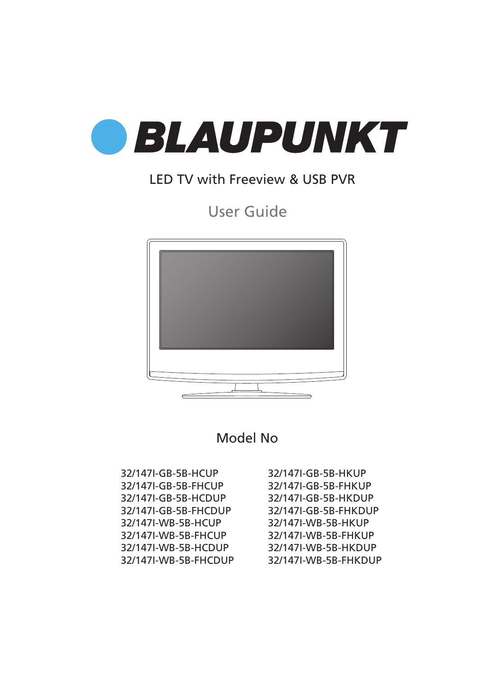

### LED TV with Freeview & USB PVR

User Guide



Model No

32/147I-GB-5B-HCUP 32/147I-GB-5B-FHCUP 32/147I-GB-5B-HCDUP 32/147I-GB-5B-FHCDUP 32/147I-WB-5B-HCUP 32/147I-WB-5B-FHCUP 32/147I-WB-5B-HCDUP 32/147I-WB-5B-FHCDUP 32/147I-GB-5B-HKUP 32/147I-GB-5B-FHKUP 32/147I-GB-5B-HKDUP 32/147I-GB-5B-FHKDUP 32/147I-WB-5B-HKUP 32/147I-WB-5B-FHKUP 32/147I-WB-5B-HKDUP 32/147I-WB-5B-FHKDUP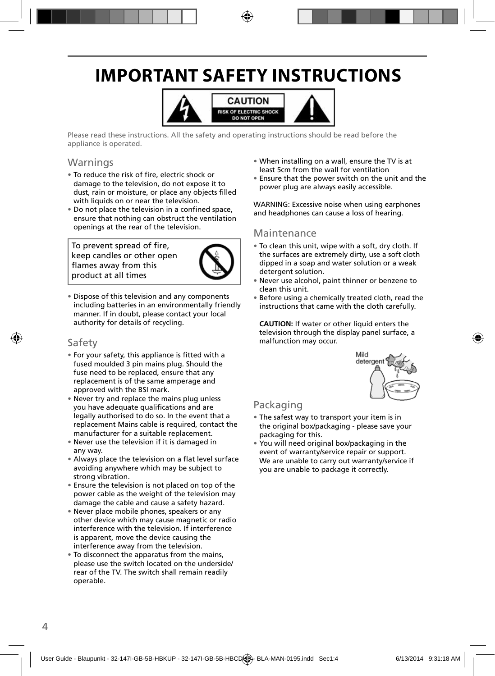# **IMPORTANT SAFETY INSTRUCTIONS**



Please read these instructions. All the safety and operating instructions should be read before the appliance is operated.

#### **Warnings**

- To reduce the risk of fire, electric shock or damage to the television, do not expose it to dust, rain or moisture, or place any objects filled with liquids on or near the television.
- Do not place the television in a confined space, ensure that nothing can obstruct the ventilation openings at the rear of the television.

To prevent spread of fire, keep candles or other open flames away from this product at all times



• Dispose of this television and any components including batteries in an environmentally friendly manner. If in doubt, please contact your local authority for details of recycling.

#### Safety

- For your safety, this appliance is fitted with a fused moulded 3 pin mains plug. Should the fuse need to be replaced, ensure that any replacement is of the same amperage and approved with the BSI mark.
- Never try and replace the mains plug unless you have adequate qualifications and are legally authorised to do so. In the event that a replacement Mains cable is required, contact the manufacturer for a suitable replacement.
- Never use the television if it is damaged in any way.
- Always place the television on a flat level surface avoiding anywhere which may be subject to strong vibration.
- Ensure the television is not placed on top of the power cable as the weight of the television may damage the cable and cause a safety hazard.
- Never place mobile phones, speakers or any other device which may cause magnetic or radio interference with the television. If interference is apparent, move the device causing the interference away from the television.
- To disconnect the apparatus from the mains, please use the switch located on the underside/ rear of the TV. The switch shall remain readily operable.
- When installing on a wall, ensure the TV is at least 5cm from the wall for ventilation
- Ensure that the power switch on the unit and the power plug are always easily accessible.

WARNING: Excessive noise when using earphones and headphones can cause a loss of hearing.

#### Maintenance

- To clean this unit, wipe with a soft, dry cloth. If the surfaces are extremely dirty, use a soft cloth dipped in a soap and water solution or a weak detergent solution.
- Never use alcohol, paint thinner or benzene to clean this unit.
- Before using a chemically treated cloth, read the instructions that came with the cloth carefully.

**CAUTION:** If water or other liquid enters the television through the display panel surface, a malfunction may occur.



### Packaging

- The safest way to transport your item is in the original box/packaging - please save your packaging for this.
- You will need original box/packaging in the event of warranty/service repair or support. We are unable to carry out warranty/service if you are unable to package it correctly.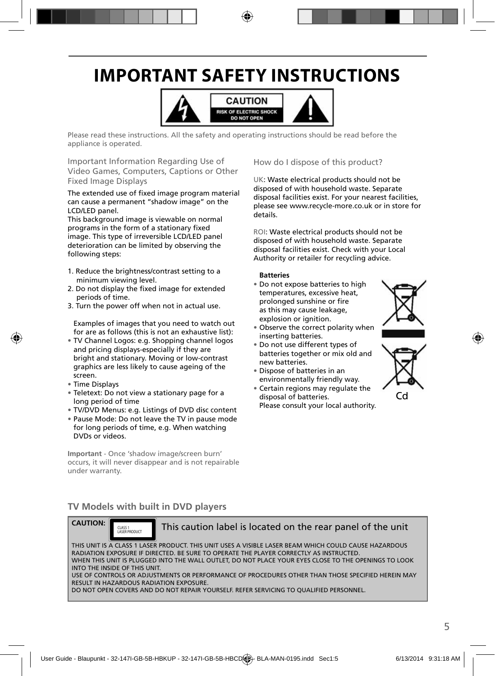# **IMPORTANT SAFETY INSTRUCTIONS**



Please read these instructions. All the safety and operating instructions should be read before the appliance is operated.

Important Information Regarding Use of Video Games, Computers, Captions or Other Fixed Image Displays

The extended use of fixed image program material can cause a permanent "shadow image" on the LCD/LED panel.

This background image is viewable on normal programs in the form of a stationary fixed image. This type of irreversible LCD/LED panel deterioration can be limited by observing the following steps:

- 1. Reduce the brightness/contrast setting to a minimum viewing level.
- 2. Do not display the fixed image for extended periods of time.
- 3. Turn the power off when not in actual use.

Examples of images that you need to watch out for are as follows (this is not an exhaustive list):

- TV Channel Logos: e.g. Shopping channel logos and pricing displays-especially if they are bright and stationary. Moving or low-contrast graphics are less likely to cause ageing of the screen.
- Time Displays
- Teletext: Do not view a stationary page for a long period of time
- TV/DVD Menus: e.g. Listings of DVD disc content
- Pause Mode: Do not leave the TV in pause mode for long periods of time, e.g. When watching DVDs or videos.

**Important** - Once 'shadow image/screen burn' occurs, it will never disappear and is not repairable under warranty.

How do I dispose of this product?

UK: Waste electrical products should not be disposed of with household waste. Separate disposal facilities exist. For your nearest facilities, please see www.recycle-more.co.uk or in store for details.

ROI: Waste electrical products should not be disposed of with household waste. Separate disposal facilities exist. Check with your Local Authority or retailer for recycling advice.

#### **Batteries**

- Do not expose batteries to high temperatures, excessive heat, prolonged sunshine or fire as this may cause leakage, explosion or ignition.
- Observe the correct polarity when inserting batteries.
- Do not use different types of batteries together or mix old and new batteries.
- Dispose of batteries in an environmentally friendly way.
- Certain regions may regulate the disposal of batteries. Please consult your local authority.





### **TV Models with built in DVD players**



This caution label is located on the rear panel of the unit

THIS UNIT IS A CLASS 1 LASER PRODUCT. THIS UNIT USES A VISIBLE LASER BEAM WHICH COULD CAUSE HAZARDOUS RADIATION EXPOSURE IF DIRECTED. BE SURE TO OPERATE THE PLAYER CORRECTLY AS INSTRUCTED. WHEN THIS UNIT IS PLUGGED INTO THE WALL OUTLET, DO NOT PLACE YOUR EYES CLOSE TO THE OPENINGS TO LOOK INTO THE INSIDE OF THIS UNIT. USE OF CONTROLS OR ADJUSTMENTS OR PERFORMANCE OF PROCEDURES OTHER THAN THOSE SPECIFIED HEREIN MAY RESULT IN HAZARDOUS RADIATION EXPOSURE.

DO NOT OPEN COVERS AND DO NOT REPAIR YOURSELF. REFER SERVICING TO QUALIFIED PERSONNEL.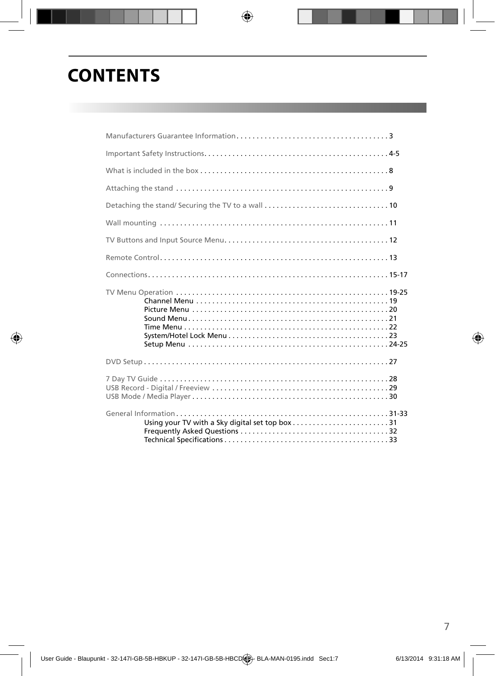### **CONTENTS**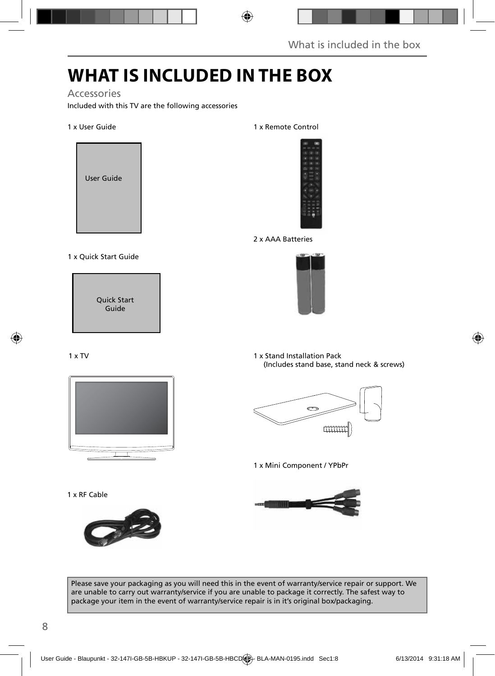# **WHAT IS INCLUDED IN THE BOX**

#### Accessories

Included with this TV are the following accessories

#### 1 x User Guide



1 x Quick Start Guide

Quick Start Guide

#### 1 x TV



1 x RF Cable



#### 1 x Remote Control



2 x AAA Batteries



1 x Stand Installation Pack (Includes stand base, stand neck & screws)



1 x Mini Component / YPbPr



Please save your packaging as you will need this in the event of warranty/service repair or support. We are unable to carry out warranty/service if you are unable to package it correctly. The safest way to package your item in the event of warranty/service repair is in it's original box/packaging.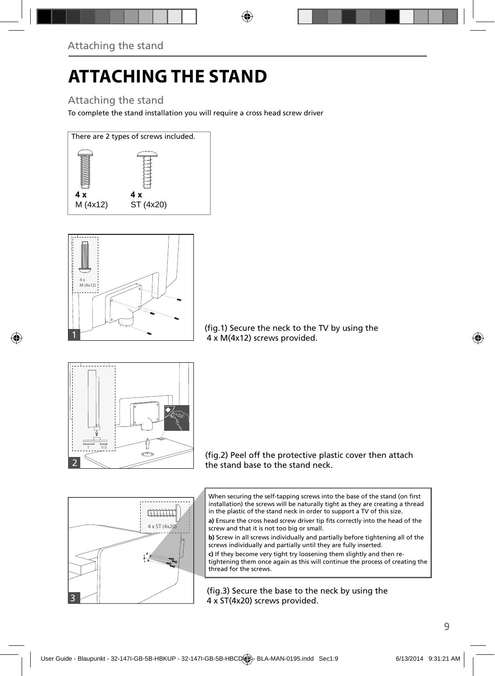# **ATTACHING THE STAND**

### Attaching the stand

To complete the stand installation you will require a cross head screw driver





(fig.1) Secure the neck to the TV by using the 4 x M(4x12) screws provided.



(fig.2) Peel off the protective plastic cover then attach the stand base to the stand neck.



a) Ensure the cross head screw driver tip fits correctly into the head of the screw and that it is not too big or small.

**b)** Screw in all screws individually and partially before tightening all of the screws individually and partially until they are fully inserted.

**c)** If they become very tight try loosening them slightly and then retightening them once again as this will continue the process of creating the thread for the screws.

(fig.3) Secure the base to the neck by using the 4 x ST(4x20) screws provided.

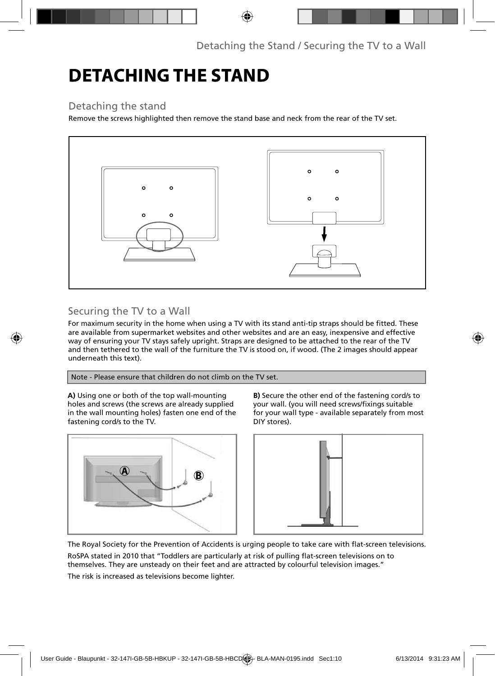# **DETACHING THE STAND**

### Detaching the stand

Remove the screws highlighted then remove the stand base and neck from the rear of the TV set.



### Securing the TV to a Wall

For maximum security in the home when using a TV with its stand anti-tip straps should be fitted. These are available from supermarket websites and other websites and are an easy, inexpensive and effective way of ensuring your TV stays safely upright. Straps are designed to be attached to the rear of the TV and then tethered to the wall of the furniture the TV is stood on, if wood. (The 2 images should appear underneath this text).

Note - Please ensure that children do not climb on the TV set.

**A)** Using one or both of the top wall-mounting holes and screws (the screws are already supplied in the wall mounting holes) fasten one end of the fastening cord/s to the TV.

**B)** Secure the other end of the fastening cord/s to your wall. (you will need screws/fixings suitable for your wall type - available separately from most DIY stores).





The Royal Society for the Prevention of Accidents is urging people to take care with flat-screen televisions.

RoSPA stated in 2010 that "Toddlers are particularly at risk of pulling flat-screen televisions on to themselves. They are unsteady on their feet and are attracted by colourful television images."

The risk is increased as televisions become lighter.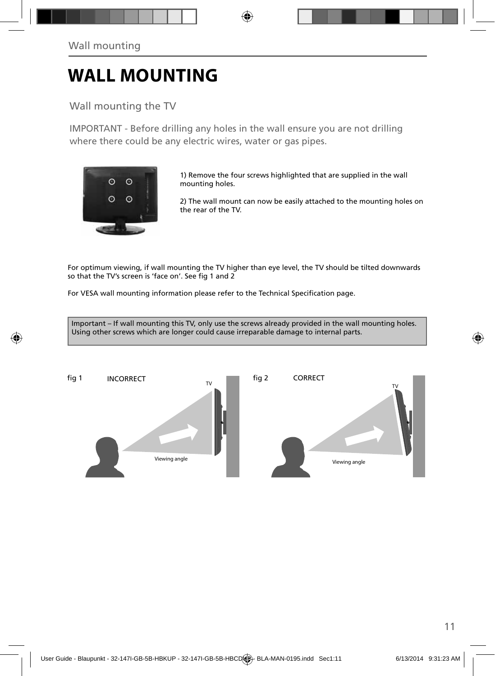# **WALL MOUNTING**

### Wall mounting the TV

IMPORTANT - Before drilling any holes in the wall ensure you are not drilling where there could be any electric wires, water or gas pipes.



1) Remove the four screws highlighted that are supplied in the wall mounting holes.

2) The wall mount can now be easily attached to the mounting holes on the rear of the TV.

For optimum viewing, if wall mounting the TV higher than eye level, the TV should be tilted downwards so that the TV's screen is 'face on'. See fig 1 and 2

For VESA wall mounting information please refer to the Technical Specification page.

Important – If wall mounting this TV, only use the screws already provided in the wall mounting holes. Using other screws which are longer could cause irreparable damage to internal parts.

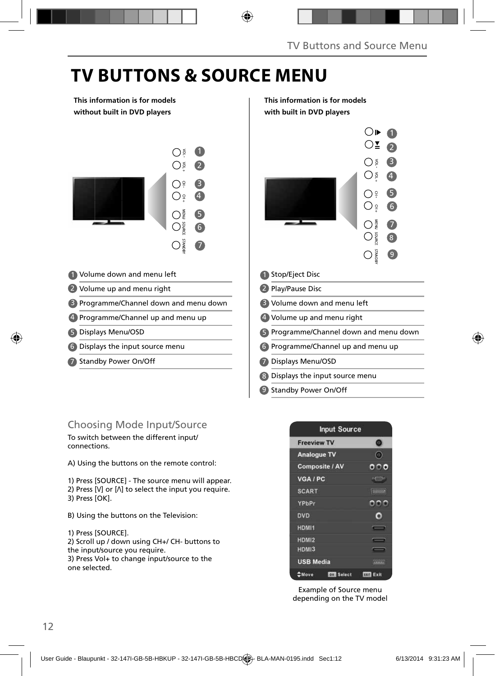# **TV BUTTONS & SOURCE MENU**

**This information is for models without built in DVD players**



- Volume down and menu left 1 1
- 2 Volume up and menu right **Example 2** 2
- 3 Programme/Channel down and menu down | 3
- 4 Programme/Channel up and menu up  $\begin{array}{|c|c|c|}\n\hline\n\end{array}$
- Displays Menu/OSD 5 5
- Displays the input source menu 6 6
- 7 Standby Power On/Off **The Contract of Contract Contract Contract Contract Contract Contract Contract Contract Contract Contract Contract Contract Contract Contract Contract Contract Contract Contract Contract Contract Co**

### Choosing Mode Input/Source

To switch between the different input/ connections.

A) Using the buttons on the remote control:

1) Press [SOURCE] - The source menu will appear. 2) Press  $[V]$  or  $[N]$  to select the input you require. 3) Press [OK].

- B) Using the buttons on the Television:
- 1) Press [SOURCE].

2) Scroll up / down using CH+/ CH- buttons to the input/source you require. 3) Press Vol+ to change input/source to the one selected.

#### **This information is for models with built in DVD players**





Example of Source menu depending on the TV model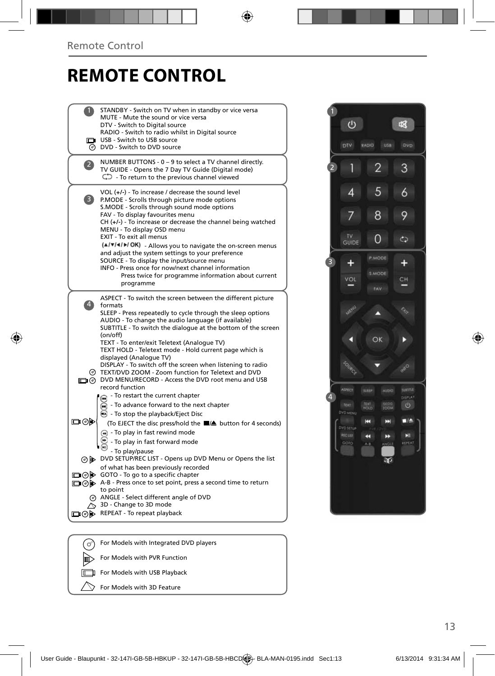# **REMOTE CONTROL**

|                                       | STANDBY - Switch on TV when in standby or vice versa<br>MUTE - Mute the sound or vice versa<br>DTV - Switch to Digital source<br>RADIO - Switch to radio whilst in Digital source<br>USB - Switch to USB source<br>@ DVD - Switch to DVD source                                                                                                                                                                                                                                                                                                                                                             |
|---------------------------------------|-------------------------------------------------------------------------------------------------------------------------------------------------------------------------------------------------------------------------------------------------------------------------------------------------------------------------------------------------------------------------------------------------------------------------------------------------------------------------------------------------------------------------------------------------------------------------------------------------------------|
|                                       | NUMBER BUTTONS - 0 - 9 to select a TV channel directly.<br>TV GUIDE - Opens the 7 Day TV Guide (Digital mode)<br>$\mathbb{C}$ - To return to the previous channel viewed                                                                                                                                                                                                                                                                                                                                                                                                                                    |
| 3)                                    | VOL (+/-) - To increase / decrease the sound level<br>P.MODE - Scrolls through picture mode options<br>S.MODE - Scrolls through sound mode options<br>FAV - To display favourites menu<br>$CH (+/-)$ - To increase or decrease the channel being watched<br>MENU - To display OSD menu<br>EXIT - To exit all menus<br>(A/V/4/M/OK) - Allows you to navigate the on-screen menus<br>and adjust the system settings to your preference<br>SOURCE - To display the input/source menu<br>INFO - Press once for now/next channel information<br>Press twice for programme information about current<br>programme |
|                                       | ASPECT - To switch the screen between the different picture<br>formats<br>SLEEP - Press repeatedly to cycle through the sleep options<br>AUDIO - To change the audio language (if available)<br>SUBTITLE - To switch the dialogue at the bottom of the screen<br>(on/off)<br>TEXT - To enter/exit Teletext (Analogue TV)<br>TEXT HOLD - Teletext mode - Hold current page which is<br>displayed (Analoque TV)                                                                                                                                                                                               |
|                                       | DISPLAY - To switch off the screen when listening to radio<br>@ TEXT/DVD ZOOM - Zoom function for Teletext and DVD<br>DVD MENU/RECORD - Access the DVD root menu and USB<br>record function<br>- To restart the current chapter                                                                                                                                                                                                                                                                                                                                                                             |
| ▭◉                                    | - To advance forward to the next chapter<br>• To stop the playback/Eject Disc<br>(To EJECT the disc press/hold the ■▲ button for 4 seconds)<br>- To play in fast rewind mode<br>- To play in fast forward mode<br>- To play/pause                                                                                                                                                                                                                                                                                                                                                                           |
|                                       | ⊙ b> DVD SETUP/REC LIST - Opens up DVD Menu or Opens the list<br>of what has been previously recorded<br>□ ⊙ iD GOTO - To go to a specific chapter<br>A-B - Press once to set point, press a second time to return<br>to point<br>@ ANGLE - Select different angle of DVD<br>3D - Change to 3D mode                                                                                                                                                                                                                                                                                                         |
| ■(の) ゆうしょう じゅうかい うけんしゅう しゅうしゅう しゅうしゅう | REPEAT - To repeat playback                                                                                                                                                                                                                                                                                                                                                                                                                                                                                                                                                                                 |
|                                       |                                                                                                                                                                                                                                                                                                                                                                                                                                                                                                                                                                                                             |



For Models with Integrated DVD players  $\left(\bigcirc\right)$ 

For Models with PVR Function

顾  $\Box$ 

For Models with USB Playback

 $\heartsuit$ For Models with 3D Feature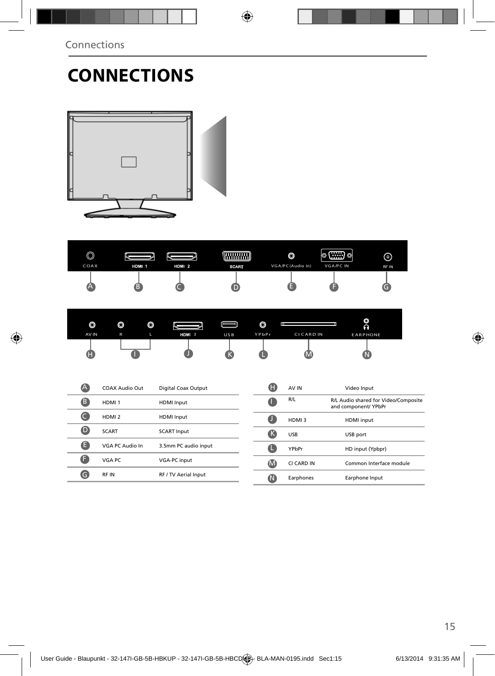# **CONNECTIONS**



| $\circledcirc$<br>COAX | HDM 1                 | HDM 2                      | <b>HANARY</b><br><b>SCART</b> |                         | O<br>VGA/PC(Audio in)          | (⊞Bo<br>O<br><b>VGA/PC IN</b> | ⊚<br>RF IN                           |
|------------------------|-----------------------|----------------------------|-------------------------------|-------------------------|--------------------------------|-------------------------------|--------------------------------------|
| Ά                      | ß                     |                            |                               |                         |                                | н                             | G                                    |
| O<br>AV IN             | O<br>O<br>L<br>R      | HDM 3                      | USB                           | $\circledcirc$<br>YPbPr | <b>Inc</b><br><b>CICARD IN</b> |                               | O<br>Ā<br><b>EARPHONE</b>            |
| Œ                      |                       |                            |                               |                         |                                |                               |                                      |
| A                      | <b>COAX Audio Out</b> | <b>Digital Coax Output</b> |                               | A                       | AV IN                          | Video Input                   |                                      |
| 8                      | HDMI <sub>1</sub>     | <b>HDMI</b> Input          |                               | a                       | R/L                            | and component/ YPbPr          | R/L Audio shared for Video/Composite |
| $\bullet$              | HDMI <sub>2</sub>     | <b>HDMI</b> Input          |                               | a                       | HDMI3                          | <b>HDMI</b> input             |                                      |
| $\bullet$              | <b>SCART</b>          | <b>SCART Input</b>         |                               | <sup>6</sup>            | <b>USB</b>                     | USB port                      |                                      |
| O                      | VGA PC Audio In       | 3.5mm PC audio input       |                               | G                       | YPbPr                          |                               | HD input (Ypbpr)                     |
| O                      | VGA PC                | VGA-PC input               |                               | $\bf{M}$                | CI CARD IN                     |                               | Common Interface module              |
| Θ                      | RF IN                 | RF / TV Aerial Input       |                               | $\bf \Omega$            | Earphones                      |                               | Earphone Input                       |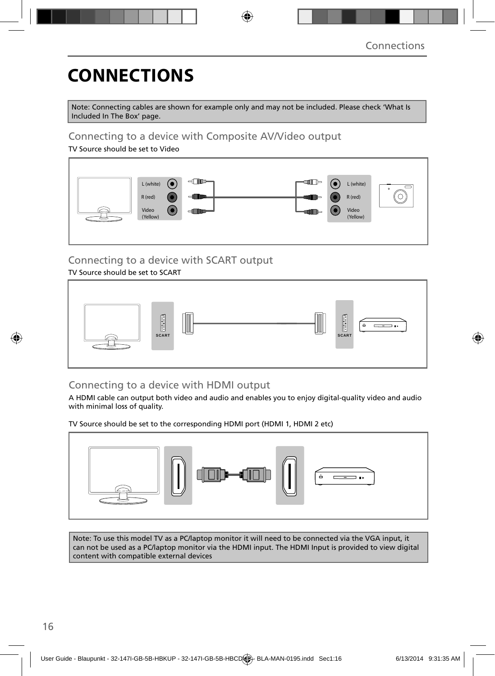# **CONNECTIONS**

Note: Connecting cables are shown for example only and may not be included. Please check 'What Is Included In The Box' page.

### Connecting to a device with Composite AV/Video output

TV Source should be set to Video



### Connecting to a device with SCART output

TV Source should be set to SCART



### Connecting to a device with HDMI output

A HDMI cable can output both video and audio and enables you to enjoy digital-quality video and audio with minimal loss of quality.

TV Source should be set to the corresponding HDMI port (HDMI 1, HDMI 2 etc)



Note: To use this model TV as a PC/laptop monitor it will need to be connected via the VGA input, it can not be used as a PC/laptop monitor via the HDMI input. The HDMI Input is provided to view digital content with compatible external devices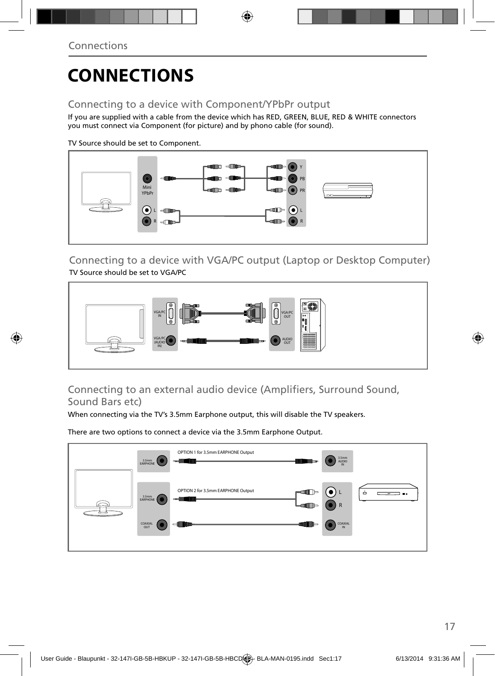# **CONNECTIONS**

### Connecting to a device with Component/YPbPr output

If you are supplied with a cable from the device which has RED, GREEN, BLUE, RED & WHITE connectors you must connect via Component (for picture) and by phono cable (for sound).

TV Source should be set to Component.



Connecting to a device with VGA/PC output (Laptop or Desktop Computer) TV Source should be set to VGA/PC



### Connecting to an external audio device (Amplifiers, Surround Sound, Sound Bars etc)

When connecting via the TV's 3.5mm Earphone output, this will disable the TV speakers.

There are two options to connect a device via the 3.5mm Earphone Output.

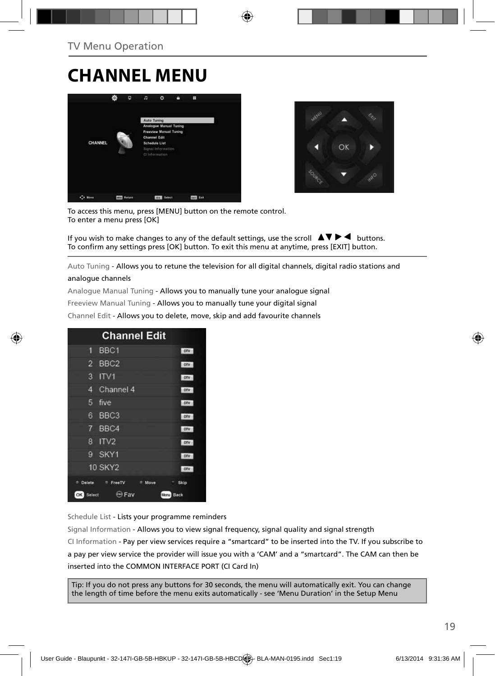### **CHANNEL MENU**





To access this menu, press [MENU] button on the remote control. To enter a menu press [OK]

If you wish to make changes to any of the default settings, use the scroll  $\blacktriangle \blacktriangledown \blacktriangleright \blacktriangleleft$  buttons. To confirm any settings press [OK] button. To exit this menu at anytime, press [EXIT] button.

Auto Tuning - Allows you to retune the television for all digital channels, digital radio stations and

#### analogue channels

Analogue Manual Tuning - Allows you to manually tune your analogue signal

Freeview Manual Tuning - Allows you to manually tune your digital signal

Channel Edit - Allows you to delete, move, skip and add favourite channels

| <b>Channel Edit</b>           |              |
|-------------------------------|--------------|
| BBC <sub>1</sub><br>61        | onv          |
| BBC <sub>2</sub><br>2         | otv          |
| 3<br>ITVI                     | otv          |
| Channel 4<br>4                | otv          |
| 5<br>five                     | otv          |
| BBC <sub>3</sub><br>6         | DTV          |
| 7 BBC4                        | onv          |
| 8<br>IV2                      | onv          |
| SKY1<br>g                     | onv          |
| <b>10 SKY2</b>                | <b>OTV</b>   |
| Delete<br>FreeTV<br>Move<br>٠ | Skip         |
| <b>ED Fav</b><br>OK<br>Select | Manu<br>Back |

Schedule List - Lists your programme reminders

Signal Information - Allows you to view signal frequency, signal quality and signal strength CI Information - Pay per view services require a "smartcard" to be inserted into the TV. If you subscribe to a pay per view service the provider will issue you with a 'CAM' and a "smartcard". The CAM can then be inserted into the COMMON INTERFACE PORT (CI Card In)

Tip: If you do not press any buttons for 30 seconds, the menu will automatically exit. You can change the length of time before the menu exits automatically - see 'Menu Duration' in the Setup Menu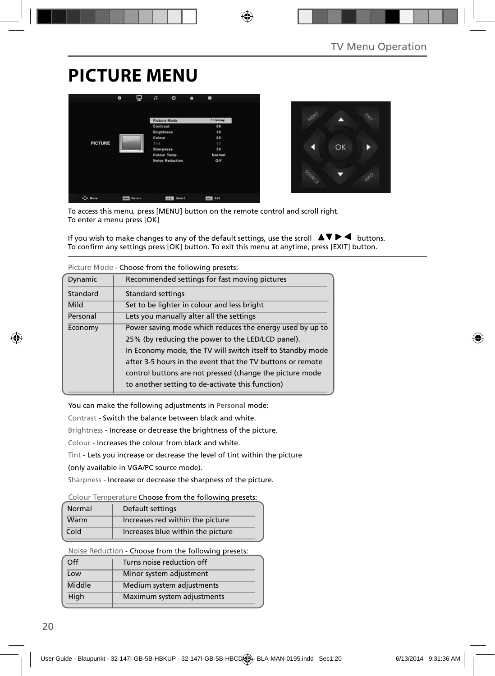# **PICTURE MENU**





To access this menu, press [MENU] button on the remote control and scroll right. To enter a menu press [OK]

If you wish to make changes to any of the default settings, use the scroll  $\Delta \nabla \blacktriangleright$   $\blacktriangleleft$  buttons. To confirm any settings press [OK] button. To exit this menu at anytime, press [EXIT] button.

|                                                          | Picture Mode - Choose from the following presets.          |  |  |  |  |
|----------------------------------------------------------|------------------------------------------------------------|--|--|--|--|
| Dynamic<br>Recommended settings for fast moving pictures |                                                            |  |  |  |  |
| Standard                                                 | Standard settings                                          |  |  |  |  |
| Set to be lighter in colour and less bright<br>Mild      |                                                            |  |  |  |  |
| Personal                                                 | Lets you manually alter all the settings                   |  |  |  |  |
| Economy                                                  | Power saving mode which reduces the energy used by up to   |  |  |  |  |
|                                                          | 25% (by reducing the power to the LED/LCD panel).          |  |  |  |  |
|                                                          | In Economy mode, the TV will switch itself to Standby mode |  |  |  |  |
|                                                          | after 3-5 hours in the event that the TV buttons or remote |  |  |  |  |
|                                                          | control buttons are not pressed (change the picture mode   |  |  |  |  |
|                                                          | to another setting to de-activate this function)           |  |  |  |  |

**Picture Mode** - Choose from the following presets:

You can make the following adjustments in **Personal** mode:

Contrast - Switch the balance between black and white.

Brightness - Increase or decrease the brightness of the picture.

Colour - Increases the colour from black and white.

Tint - Lets you increase or decrease the level of tint within the picture

(only available in VGA/PC source mode).

Sharpness - Increase or decrease the sharpness of the picture.

#### **Colour Temperature** Choose from the following presets:

| Normal | Default settings                  |
|--------|-----------------------------------|
| Warm   | Increases red within the picture  |
| Cold   | Increases blue within the picture |

**Noise Reduction** - Choose from the following presets:

| Turns noise reduction off  |
|----------------------------|
| Minor system adjustment    |
| Medium system adjustments  |
| Maximum system adjustments |
|                            |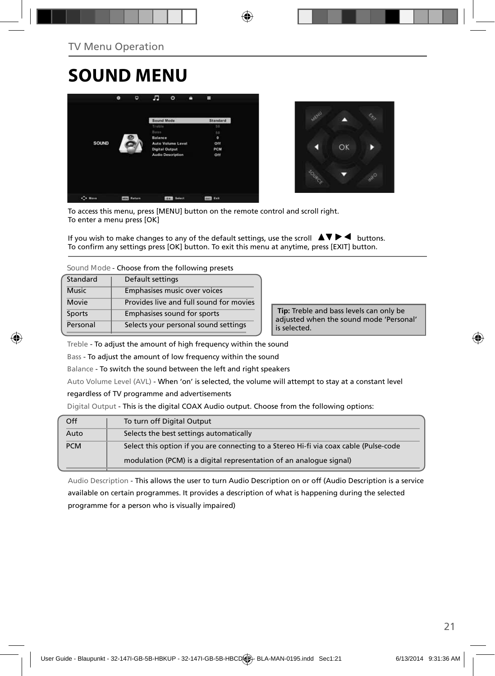# **SOUND MENU**





To access this menu, press [MENU] button on the remote control and scroll right. To enter a menu press [OK]

If you wish to make changes to any of the default settings, use the scroll  $\blacktriangle \blacktriangledown \blacktriangleright \blacktriangleleft$  buttons. To confirm any settings press [OK] button. To exit this menu at anytime, press [EXIT] button.

**Sound Mode** - Choose from the following presets

| Standard     | Default settings                        |
|--------------|-----------------------------------------|
| <b>Music</b> | Emphasises music over voices            |
| Movie        | Provides live and full sound for movies |
| Sports       | Emphasises sound for sports             |
| Personal     | Selects your personal sound settings    |

 **Tip:** Treble and bass levels can only be adjusted when the sound mode 'Personal' is selected.

Treble - To adjust the amount of high frequency within the sound

Bass - To adjust the amount of low frequency within the sound

Balance - To switch the sound between the left and right speakers

Auto Volume Level (AVL) - When 'on' is selected, the volume will attempt to stay at a constant level

#### regardless of TV programme and advertisements

Digital Output - This is the digital COAX Audio output. Choose from the following options:

| Off        | To turn off Digital Output                                                            |
|------------|---------------------------------------------------------------------------------------|
| Auto       | Selects the best settings automatically                                               |
| <b>PCM</b> | Select this option if you are connecting to a Stereo Hi-fi via coax cable (Pulse-code |
|            | modulation (PCM) is a digital representation of an analogue signal)                   |

Audio Description - This allows the user to turn Audio Description on or off (Audio Description is a service available on certain programmes. It provides a description of what is happening during the selected programme for a person who is visually impaired)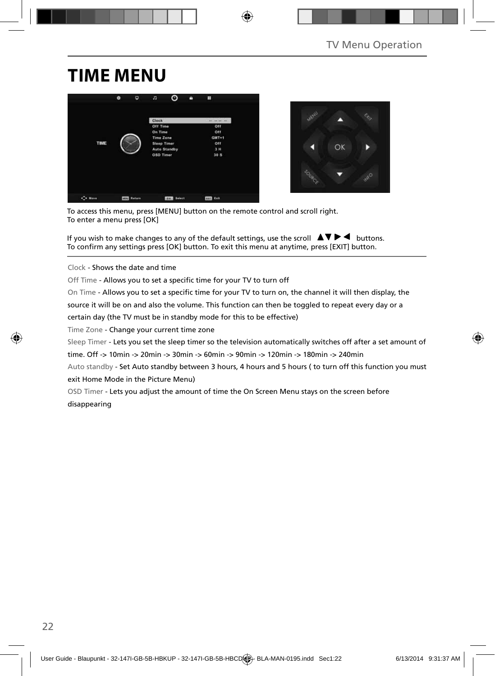### **TIME MENU**





To access this menu, press [MENU] button on the remote control and scroll right. To enter a menu press [OK]

If you wish to make changes to any of the default settings, use the scroll  $\Box \Box \Box \Box$  buttons. To confirm any settings press [OK] button. To exit this menu at anytime, press [EXIT] button.

Clock - Shows the date and time

Off Time - Allows you to set a specific time for your TV to turn off

On Time - Allows you to set a specific time for your TV to turn on, the channel it will then display, the

source it will be on and also the volume. This function can then be toggled to repeat every day or a

certain day (the TV must be in standby mode for this to be effective)

Time Zone - Change your current time zone

Sleep Timer - Lets you set the sleep timer so the television automatically switches off after a set amount of

time. Off -> 10min -> 20min -> 30min -> 60min -> 90min -> 120min -> 180min -> 240min

Auto standby - Set Auto standby between 3 hours, 4 hours and 5 hours (to turn off this function you must exit Home Mode in the Picture Menu)

OSD Timer - Lets you adjust the amount of time the On Screen Menu stays on the screen before disappearing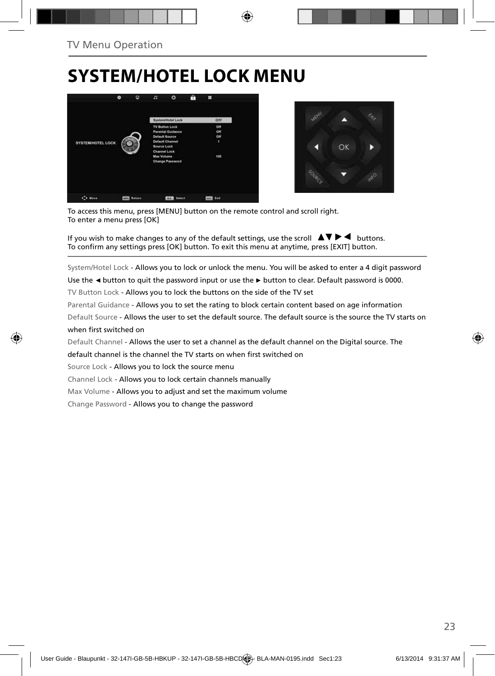# **SYSTEM/HOTEL LOCK MENU**





To access this menu, press [MENU] button on the remote control and scroll right. To enter a menu press [OK]

If you wish to make changes to any of the default settings, use the scroll  $\blacktriangle \blacktriangledown \blacktriangleright \blacktriangleleft$  buttons. To confirm any settings press [OK] button. To exit this menu at anytime, press [EXIT] button.

System/Hotel Lock - Allows you to lock or unlock the menu. You will be asked to enter a 4 digit password

Use the **◄** button to quit the password input or use the **►** button to clear. Default password is 0000.

TV Button Lock - Allows you to lock the buttons on the side of the TV set

Parental Guidance - Allows you to set the rating to block certain content based on age information

Default Source - Allows the user to set the default source. The default source is the source the TV starts on when first switched on

Default Channel - Allows the user to set a channel as the default channel on the Digital source. The

default channel is the channel the TV starts on when first switched on

Source Lock - Allows you to lock the source menu

Channel Lock - Allows you to lock certain channels manually

Max Volume - Allows you to adjust and set the maximum volume

Change Password - Allows you to change the password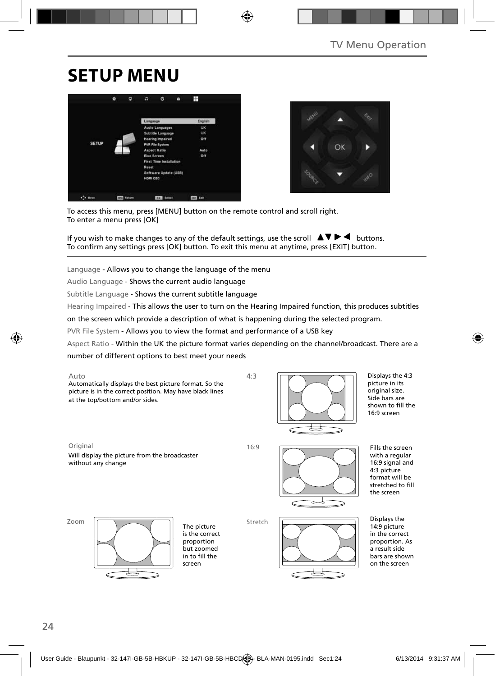# **SETUP MENU**





To access this menu, press [MENU] button on the remote control and scroll right. To enter a menu press [OK]

If you wish to make changes to any of the default settings, use the scroll  $\Box \Box \Box \Box$  buttons. To confirm any settings press [OK] button. To exit this menu at anytime, press [EXIT] button.

Language - Allows you to change the language of the menu

Audio Language - Shows the current audio language

Subtitle Language - Shows the current subtitle language

Hearing Impaired - This allows the user to turn on the Hearing Impaired function, this produces subtitles

on the screen which provide a description of what is happening during the selected program.

PVR File System - Allows you to view the format and performance of a USB key

Aspect Ratio - Within the UK the picture format varies depending on the channel/broadcast. There are a

number of different options to best meet your needs





Displays the 4:3 picture in its original size. Side bars are shown to fill the 16:9 screen

Original 16:9

Will display the picture from the broadcaster without any change



Fills the screen with a regular 16:9 signal and 4:3 picture format will be stretched to fill the screen

Zoom



The picture is the correct proportion but zoomed in to fill the screen

Stretch



Displays the 14:9 picture in the correct proportion. As a result side bars are shown on the screen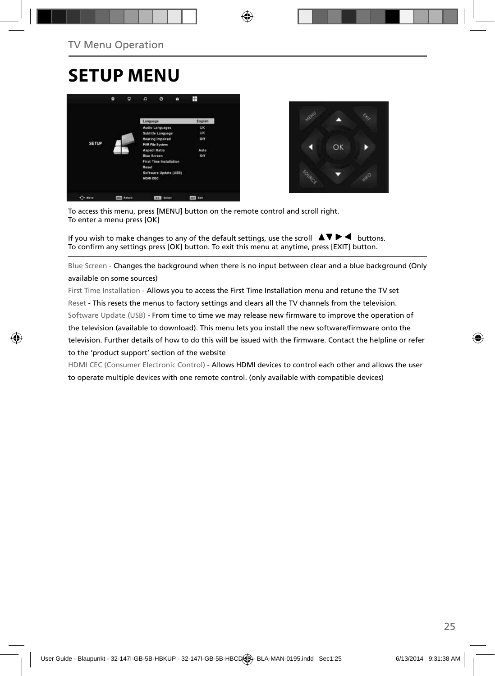# **SETUP MENU**





To access this menu, press [MENU] button on the remote control and scroll right. To enter a menu press [OK]

If you wish to make changes to any of the default settings, use the scroll  $\Box \blacktriangledown \blacktriangleright \blacktriangleleft$  buttons. To confirm any settings press [OK] button. To exit this menu at anytime, press [EXIT] button.

Blue Screen - Changes the background when there is no input between clear and a blue background (Only available on some sources)

First Time Installation - Allows you to access the First Time Installation menu and retune the TV set Reset - This resets the menus to factory settings and clears all the TV channels from the television. Software Update (USB) - From time to time we may release new firmware to improve the operation of the television (available to download). This menu lets you install the new software/firmware onto the television. Further details of how to do this will be issued with the firmware. Contact the helpline or refer to the 'product support' section of the website

HDMI CEC (Consumer Electronic Control) - Allows HDMI devices to control each other and allows the user to operate multiple devices with one remote control. (only available with compatible devices)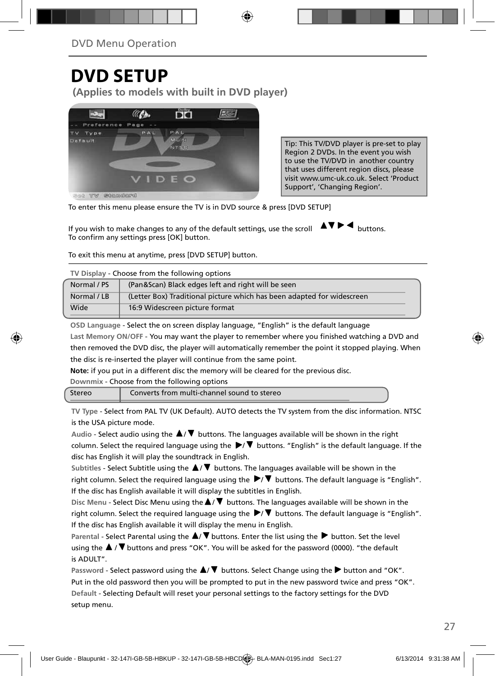### **DVD SETUP**

**(Applies to models with built in DVD player)**



Tip: This TV/DVD player is pre-set to play Region 2 DVDs. In the event you wish to use the TV/DVD in another country that uses different region discs, please visit www.umc-uk.co.uk. Select 'Product Support', 'Changing Region'.

To enter this menu please ensure the TV is in DVD source & press [DVD SETUP]

If you wish to make changes to any of the default settings, use the scroll  $\Delta \nabla \blacktriangleright$   $\blacktriangleleft$  buttons. To confirm any settings press [OK] button.

To exit this menu at anytime, press [DVD SETUP] button.

| TV Display - Choose from the following options                                        |                                                    |  |  |
|---------------------------------------------------------------------------------------|----------------------------------------------------|--|--|
| Normal / PS                                                                           | (Pan&Scan) Black edges left and right will be seen |  |  |
| (Letter Box) Traditional picture which has been adapted for widescreen<br>Normal / LB |                                                    |  |  |
| Wide                                                                                  | 16:9 Widescreen picture format                     |  |  |

**OSD Language** - Select the on screen display language, "English" is the default language

Last Memory ON/OFF - You may want the player to remember where you finished watching a DVD and then removed the DVD disc, the player will automatically remember the point it stopped playing. When the disc is re-inserted the player will continue from the same point.

**Note:** if you put in a different disc the memory will be cleared for the previous disc.

**Downmix** - Choose from the following options

| Stereo | Converts from multi-channel sound to stereo |  |
|--------|---------------------------------------------|--|
|--------|---------------------------------------------|--|

**TV Type** - Select from PAL TV (UK Default). AUTO detects the TV system from the disc information. NTSC is the USA picture mode.

Audio - Select audio using the  $\blacktriangle/\blacktriangledown$  buttons. The languages available will be shown in the right column. Select the required language using the  $\blacktriangleright/\blacktriangledown$  buttons. "English" is the default language. If the disc has English it will play the soundtrack in English.

Subtitles - Select Subtitle using the  $\blacktriangle$ /  $\blacktriangledown$  buttons. The languages available will be shown in the right column. Select the required language using the  $\blacktriangleright/\blacktriangledown$  buttons. The default language is "English". If the disc has English available it will display the subtitles in English.

Disc Menu - Select Disc Menu using the  $\blacktriangle/\blacktriangledown$  buttons. The languages available will be shown in the right column. Select the required language using the  $\blacktriangleright/\blacktriangledown$  buttons. The default language is "English". If the disc has English available it will display the menu in English.

Parental - Select Parental using the  $\blacktriangle/\blacktriangledown$  buttons. Enter the list using the **button**. Set the level using the  $\blacktriangle$  /  $\nabla$  buttons and press "OK". You will be asked for the password (0000). "the default is ADULT".

Password - Select password using the  $\blacktriangle/\blacktriangledown$  buttons. Select Change using the **button and "OK".** Put in the old password then you will be prompted to put in the new password twice and press "OK". **Default** - Selecting Default will reset your personal settings to the factory settings for the DVD setup menu.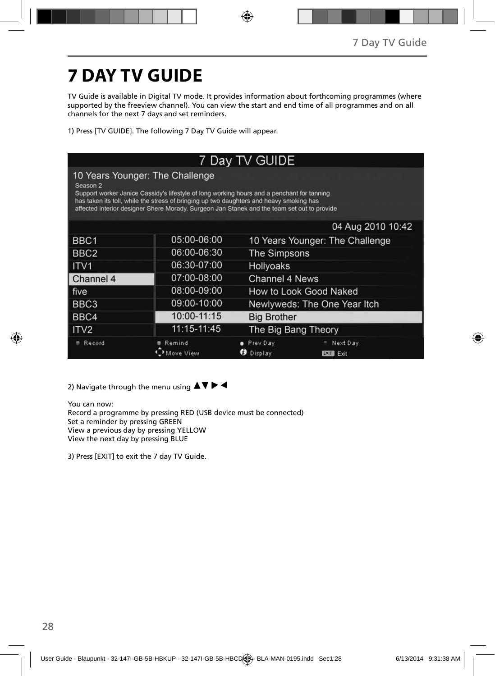# **7 DAY TV GUIDE**

TV Guide is available in Digital TV mode. It provides information about forthcoming programmes (where supported by the freeview channel). You can view the start and end time of all programmes and on all channels for the next 7 days and set reminders.

1) Press [TV GUIDE]. The following 7 Day TV Guide will appear.

| 7 Day TV GUIDE   |                                                                                                                                                                                                                                                                                                                         |                                                             |                                 |  |  |
|------------------|-------------------------------------------------------------------------------------------------------------------------------------------------------------------------------------------------------------------------------------------------------------------------------------------------------------------------|-------------------------------------------------------------|---------------------------------|--|--|
| Season 2         | 10 Years Younger: The Challenge<br>Support worker Janice Cassidy's lifestyle of long working hours and a penchant for tanning<br>has taken its toll, while the stress of bringing up two daughters and heavy smoking has<br>affected interior designer Shere Morady. Surgeon Jan Stanek and the team set out to provide |                                                             |                                 |  |  |
|                  |                                                                                                                                                                                                                                                                                                                         |                                                             | 04 Aug 2010 10:42               |  |  |
| BBC1             | 05:00-06:00                                                                                                                                                                                                                                                                                                             |                                                             | 10 Years Younger: The Challenge |  |  |
| BBC <sub>2</sub> | 06:00-06:30                                                                                                                                                                                                                                                                                                             |                                                             | The Simpsons                    |  |  |
| ITV <sub>1</sub> | 06:30-07:00                                                                                                                                                                                                                                                                                                             | Hollyoaks                                                   |                                 |  |  |
| Channel 4        | 07:00-08:00                                                                                                                                                                                                                                                                                                             | Channel 4 News                                              |                                 |  |  |
| five             | 08:00-09:00                                                                                                                                                                                                                                                                                                             | How to Look Good Naked                                      |                                 |  |  |
| BBC <sub>3</sub> | 09:00-10:00                                                                                                                                                                                                                                                                                                             | Newlyweds: The One Year Itch                                |                                 |  |  |
| BBC4             | 10:00-11:15                                                                                                                                                                                                                                                                                                             | <b>Big Brother</b>                                          |                                 |  |  |
| ITV2             | 11:15-11:45                                                                                                                                                                                                                                                                                                             | The Big Bang Theory                                         |                                 |  |  |
| Record           | Remind<br>ove View                                                                                                                                                                                                                                                                                                      | Prev Day<br>Next Day<br>Display<br>ø<br>Exit<br><b>EXIT</b> |                                 |  |  |

2) Navigate through the menu using  $\blacktriangle \blacktriangledown \blacktriangleright \blacktriangleleft$ 

You can now: Record a programme by pressing RED (USB device must be connected) Set a reminder by pressing GREEN View a previous day by pressing YELLOW View the next day by pressing BLUE

3) Press [EXIT] to exit the 7 day TV Guide.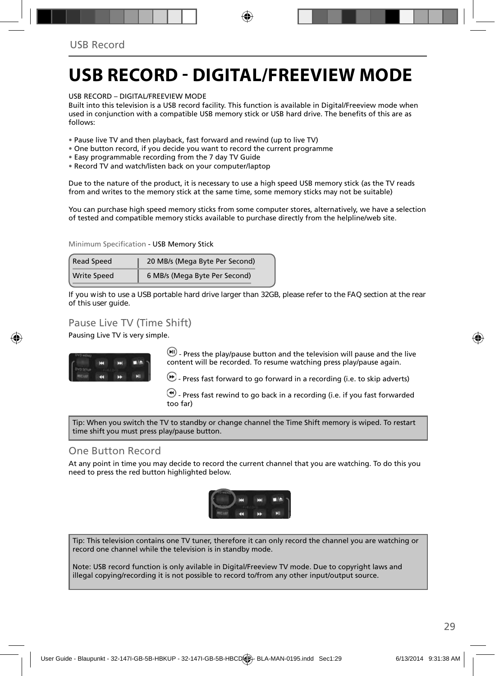### **USB RECORD - DIGITAL/FREEVIEW MODE**

USB RECORD – DIGITAL/FREEVIEW MODE

Built into this television is a USB record facility. This function is available in Digital/Freeview mode when used in coniunction with a compatible USB memory stick or USB hard drive. The benefits of this are as follows:

• Pause live TV and then playback, fast forward and rewind (up to live TV)

- One button record, if you decide you want to record the current programme
- Easy programmable recording from the 7 day TV Guide
- Record TV and watch/listen back on your computer/laptop

Due to the nature of the product, it is necessary to use a high speed USB memory stick (as the TV reads from and writes to the memory stick at the same time, some memory sticks may not be suitable)

You can purchase high speed memory sticks from some computer stores, alternatively, we have a selection of tested and compatible memory sticks available to purchase directly from the helpline/web site.

Minimum Specification - USB Memory Stick

| <b>Read Speed</b>  | 20 MB/s (Mega Byte Per Second) |  |  |
|--------------------|--------------------------------|--|--|
| <b>Write Speed</b> | 6 MB/s (Mega Byte Per Second)  |  |  |

**If you wish to use a USB portable hard drive larger than 32GB, please refer to the FAQ section at the rear of this user guide.**

### Pause Live TV (Time Shift)

Pausing Live TV is very simple.



 $\left(\mathbf{H}\right)$  - Press the play/pause button and the television will pause and the live content will be recorded. To resume watching press play/pause again.

 $\bigoplus$  - Press fast forward to go forward in a recording (i.e. to skip adverts)

 $\bigcirc$  - Press fast rewind to go back in a recording (i.e. if you fast forwarded too far)

Tip: When you switch the TV to standby or change channel the Time Shift memory is wiped. To restart time shift you must press play/pause button.

### One Button Record

At any point in time you may decide to record the current channel that you are watching. To do this you need to press the red button highlighted below.



Tip: This television contains one TV tuner, therefore it can only record the channel you are watching or record one channel while the television is in standby mode.

Note: USB record function is only avilable in Digital/Freeview TV mode. Due to copyright laws and illegal copying/recording it is not possible to record to/from any other input/output source.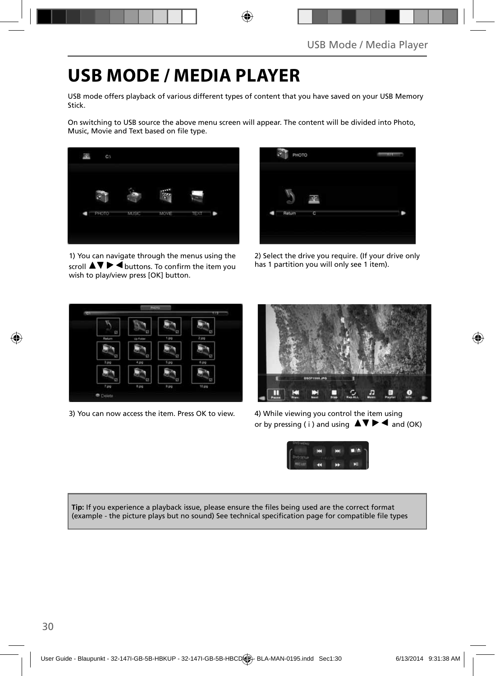### **USB MODE / MEDIA PLAYER**

USB mode offers playback of various different types of content that you have saved on your USB Memory Stick.

On switching to USB source the above menu screen will appear. The content will be divided into Photo, Music, Movie and Text based on file type.



1) You can navigate through the menus using the scroll  $\triangle \triangledown \triangleright \triangleleft$  buttons. To confirm the item you wish to play/view press [OK] button.



2) Select the drive you require. (If your drive only has 1 partition you will only see 1 item).



3) You can now access the item. Press OK to view. 4) While viewing you control the item using



or by pressing (i) and using  $\Delta \nabla \blacktriangleright$  and (OK)



**Tip:** If you experience a playback issue, please ensure the files being used are the correct format (example - the picture plays but no sound) See technical specification page for compatible file types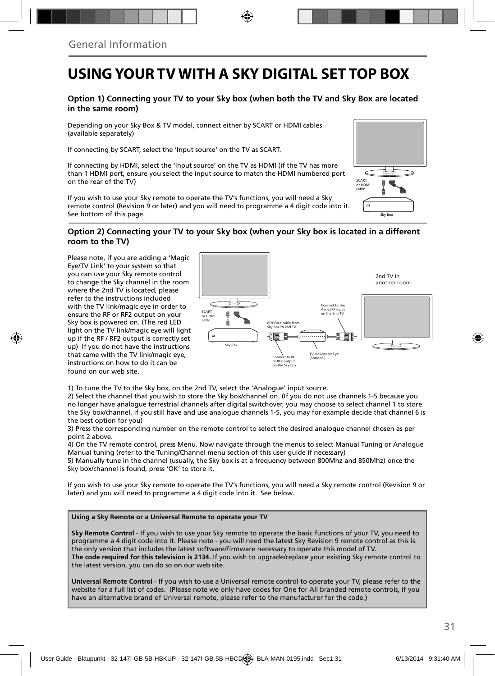### **USING YOUR TV WITH A SKY DIGITAL SET TOP BOX**

#### **Option 1) Connecting your TV to your Sky box (when both the TV and Sky Box are located in the same room)**

Depending on your Sky Box & TV model, connect either by SCART or HDMI cables (available separately)

If connecting by SCART, select the 'Input source' on the TV as SCART.

If connecting by HDMI, select the 'Input source' on the TV as HDMI (if the TV has more than 1 HDMI port, ensure you select the input source to match the HDMI numbered port on the rear of the TV)

If you wish to use your Sky remote to operate the TV's functions, you will need a Sky remote control (Revision 9 or later) and you will need to programme a 4 digit code into it. See bottom of this page.

### **Option 2) Connecting your TV to your Sky box (when your Sky box is located in a different room to the TV)**  Sky Box

Please note, if you are adding a 'Magic Eye/TV Link' to your system so that you can use your Sky remote control to change the Sky channel in the room where the 2nd TV is located, please refer to the instructions included with the TV link/magic eye in order to ensure the RF or RF2 output on your Sky box is powered on. (The red LED light on the TV link/magic eye will light up if the RF / RF2 output is correctly set up) If you do not have the instructions that came with the TV link/magic eye, instructions on how to do it can be found on our web site.



1) To tune the TV to the Sky box, on the 2nd TV, select the 'Analogue' input source.

2) Select the channel that you wish to store the Sky box/channel on. (If you do not use channels 1-5 because you no longer have analogue terrestrial channels after digital switchover, you may choose to select channel 1 to store the Sky box/channel, if you still have and use analogue channels 1-5, you may for example decide that channel 6 is the best option for you)

3) Press the corresponding number on the remote control to select the desired analogue channel chosen as per point 2 above.

4) On the TV remote control, press Menu. Now navigate through the menus to select Manual Tuning or Analogue Manual tuning (refer to the Tuning/Channel menu section of this user guide if necessary)

5) Manually tune in the channel (usually, the Sky box is at a frequency between 800Mhz and 850Mhz) once the Sky box/channel is found, press 'OK' to store it.

If you wish to use your Sky remote to operate the TV's functions, you will need a Sky remote control (Revision 9 or later) and you will need to programme a 4 digit code into it. See below.

#### **Using a Sky Remote or a Universal Remote to operate your TV**

**Sky Remote Control** - If you wish to use your Sky remote to operate the basic functions of your TV, you need to programme a 4 digit code into it. Please note - you will need the latest Sky Revision 9 remote control as this is the only version that includes the latest software/firmware necessary to operate this model of TV. **The code required for this television is 2134.** If you wish to upgrade/replace your existing Sky remote control to the latest version, you can do so on our web site.

**Universal Remote Control** - If you wish to use a Universal remote control to operate your TV, please refer to the website for a full list of codes. (Please note we only have codes for One for All branded remote controls, if you have an alternative brand of Universal remote, please refer to the manufacturer for the code.)

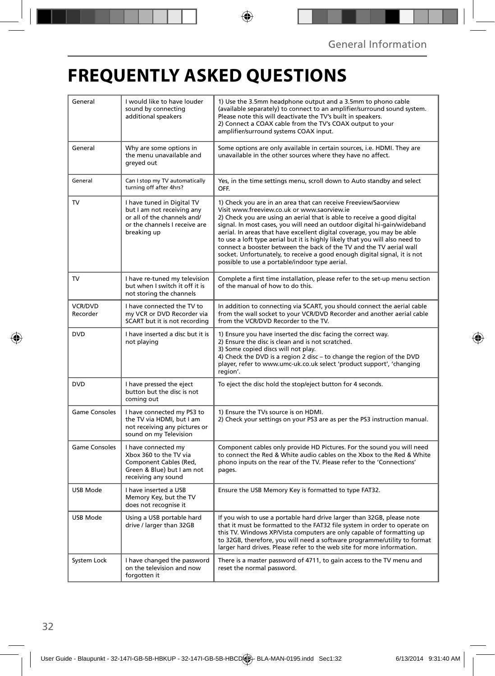# **FREQUENTLY ASKED QUESTIONS**

| General              | I would like to have louder<br>sound by connecting<br>additional speakers                                                               | 1) Use the 3.5mm headphone output and a 3.5mm to phono cable<br>(available separately) to connect to an amplifier/surround sound system.<br>Please note this will deactivate the TV's built in speakers.<br>2) Connect a COAX cable from the TV's COAX output to your<br>amplifier/surround systems COAX input.                                                                                                                                                                                                                                                                                                                      |  |  |
|----------------------|-----------------------------------------------------------------------------------------------------------------------------------------|--------------------------------------------------------------------------------------------------------------------------------------------------------------------------------------------------------------------------------------------------------------------------------------------------------------------------------------------------------------------------------------------------------------------------------------------------------------------------------------------------------------------------------------------------------------------------------------------------------------------------------------|--|--|
| General              | Why are some options in<br>the menu unavailable and<br>greyed out                                                                       | Some options are only available in certain sources, i.e. HDMI. They are<br>unavailable in the other sources where they have no affect.                                                                                                                                                                                                                                                                                                                                                                                                                                                                                               |  |  |
| General              | Can I stop my TV automatically<br>turning off after 4hrs?                                                                               | Yes, in the time settings menu, scroll down to Auto standby and select<br>OFF.                                                                                                                                                                                                                                                                                                                                                                                                                                                                                                                                                       |  |  |
| <b>TV</b>            | I have tuned in Digital TV<br>but I am not receiving any<br>or all of the channels and/<br>or the channels I receive are<br>breaking up | 1) Check you are in an area that can receive Freeview/Saorview<br>Visit www.freeview.co.uk or www.saorview.ie<br>2) Check you are using an aerial that is able to receive a good digital<br>signal. In most cases, you will need an outdoor digital hi-gain/wideband<br>aerial. In areas that have excellent digital coverage, you may be able<br>to use a loft type aerial but it is highly likely that you will also need to<br>connect a booster between the back of the TV and the TV aerial wall<br>socket. Unfortunately, to receive a good enough digital signal, it is not<br>possible to use a portable/indoor type aerial. |  |  |
| <b>TV</b>            | I have re-tuned my television<br>but when I switch it off it is<br>not storing the channels                                             | Complete a first time installation, please refer to the set-up menu section<br>of the manual of how to do this.                                                                                                                                                                                                                                                                                                                                                                                                                                                                                                                      |  |  |
| VCR/DVD<br>Recorder  | I have connected the TV to<br>my VCR or DVD Recorder via<br>SCART but it is not recording                                               | In addition to connecting via SCART, you should connect the aerial cable<br>from the wall socket to your VCR/DVD Recorder and another aerial cable<br>from the VCR/DVD Recorder to the TV.                                                                                                                                                                                                                                                                                                                                                                                                                                           |  |  |
| <b>DVD</b>           | I have inserted a disc but it is<br>not playing                                                                                         | 1) Ensure you have inserted the disc facing the correct way.<br>2) Ensure the disc is clean and is not scratched.<br>3) Some copied discs will not play.<br>4) Check the DVD is a region 2 disc - to change the region of the DVD<br>player, refer to www.umc-uk.co.uk select 'product support', 'changing<br>region'.                                                                                                                                                                                                                                                                                                               |  |  |
| <b>DVD</b>           | I have pressed the eject<br>button but the disc is not<br>coming out                                                                    | To eject the disc hold the stop/eject button for 4 seconds.                                                                                                                                                                                                                                                                                                                                                                                                                                                                                                                                                                          |  |  |
| <b>Game Consoles</b> | I have connected my PS3 to<br>the TV via HDMI, but I am<br>not receiving any pictures or<br>sound on my Television                      | 1) Ensure the TVs source is on HDMI.<br>2) Check your settings on your PS3 are as per the PS3 instruction manual.                                                                                                                                                                                                                                                                                                                                                                                                                                                                                                                    |  |  |
| Game Consoles        | I have connected my<br>Xbox 360 to the TV via<br>Component Cables (Red,<br>Green & Blue) but I am not<br>receiving any sound            | Component cables only provide HD Pictures. For the sound you will need<br>to connect the Red & White audio cables on the Xbox to the Red & White<br>phono inputs on the rear of the TV. Please refer to the 'Connections'<br>pages.                                                                                                                                                                                                                                                                                                                                                                                                  |  |  |
| USB Mode             | I have inserted a USB<br>Memory Key, but the TV<br>does not recognise it                                                                | Ensure the USB Memory Key is formatted to type FAT32.                                                                                                                                                                                                                                                                                                                                                                                                                                                                                                                                                                                |  |  |
| <b>USB Mode</b>      | Using a USB portable hard<br>drive / larger than 32GB                                                                                   | If you wish to use a portable hard drive larger than 32GB, please note<br>that it must be formatted to the FAT32 file system in order to operate on<br>this TV. Windows XP/Vista computers are only capable of formatting up<br>to 32GB, therefore, you will need a software programme/utility to format<br>larger hard drives. Please refer to the web site for more information.                                                                                                                                                                                                                                                   |  |  |
| System Lock          | I have changed the password<br>on the television and now<br>forgotten it                                                                | There is a master password of 4711, to gain access to the TV menu and<br>reset the normal password.                                                                                                                                                                                                                                                                                                                                                                                                                                                                                                                                  |  |  |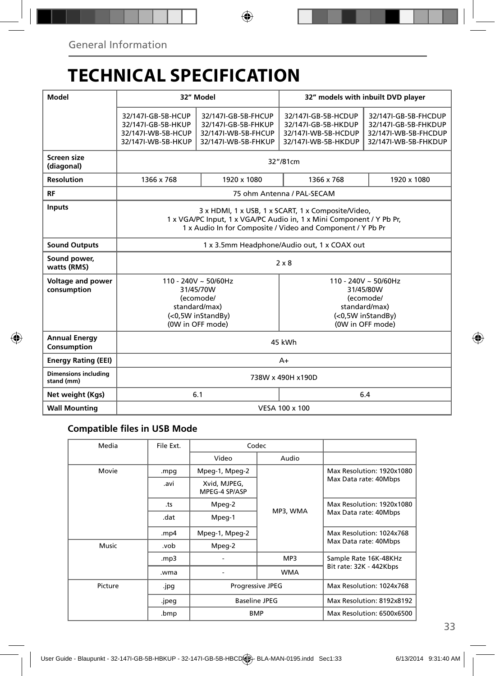# **TECHNICAL SPECIFICATION**

| Model                                     | 32" Model                                                                                                                                                                                |                                                                                          | 32" models with inbuilt DVD player                                                                            |                                                                                              |  |
|-------------------------------------------|------------------------------------------------------------------------------------------------------------------------------------------------------------------------------------------|------------------------------------------------------------------------------------------|---------------------------------------------------------------------------------------------------------------|----------------------------------------------------------------------------------------------|--|
|                                           | 32/147I-GB-5B-HCUP<br>32/147I-GB-5B-HKUP<br>32/147I-WB-5B-HCUP<br>32/147I-WB-5B-HKUP                                                                                                     | 32/147I-GB-5B-FHCUP<br>32/147I-GB-5B-FHKUP<br>32/147I-WB-5B-FHCUP<br>32/147I-WB-5B-FHKUP | 32/147I-GB-5B-HCDUP<br>32/147I-GB-5B-HKDUP<br>32/147I-WB-5B-HCDUP<br>32/147I-WB-5B-HKDUP                      | 32/147I-GB-5B-FHCDUP<br>32/147I-GB-5B-FHKDUP<br>32/147I-WB-5B-FHCDUP<br>32/147I-WB-5B-FHKDUP |  |
| Screen size<br>(diagonal)                 | 32"/81cm                                                                                                                                                                                 |                                                                                          |                                                                                                               |                                                                                              |  |
| <b>Resolution</b>                         | 1366 x 768                                                                                                                                                                               | 1920 x 1080                                                                              | 1366 x 768                                                                                                    | 1920 x 1080                                                                                  |  |
| <b>RF</b>                                 | 75 ohm Antenna / PAL-SECAM                                                                                                                                                               |                                                                                          |                                                                                                               |                                                                                              |  |
| <b>Inputs</b>                             | 3 x HDMI, 1 x USB, 1 x SCART, 1 x Composite/Video,<br>1 x VGA/PC Input, 1 x VGA/PC Audio in, 1 x Mini Component / Y Pb Pr,<br>1 x Audio In for Composite / Video and Component / Y Pb Pr |                                                                                          |                                                                                                               |                                                                                              |  |
| <b>Sound Outputs</b>                      | 1 x 3.5mm Headphone/Audio out, 1 x COAX out                                                                                                                                              |                                                                                          |                                                                                                               |                                                                                              |  |
| Sound power,<br>watts (RMS)               | $2 \times 8$                                                                                                                                                                             |                                                                                          |                                                                                                               |                                                                                              |  |
| Voltage and power<br>consumption          | $110 - 240V \sim 50/60Hz$<br>31/45/70W<br>(ecomode/<br>standard/max)<br>(<0,5W inStandBy)<br>(0W in OFF mode)                                                                            |                                                                                          | $110 - 240V \sim 50/60Hz$<br>31/45/80W<br>(ecomode/<br>standard/max)<br>(<0,5W inStandBy)<br>(0W in OFF mode) |                                                                                              |  |
| <b>Annual Energy</b><br>Consumption       | 45 kWh                                                                                                                                                                                   |                                                                                          |                                                                                                               |                                                                                              |  |
| <b>Energy Rating (EEI)</b>                | $A+$                                                                                                                                                                                     |                                                                                          |                                                                                                               |                                                                                              |  |
| <b>Dimensions including</b><br>stand (mm) | 738W x 490H x190D                                                                                                                                                                        |                                                                                          |                                                                                                               |                                                                                              |  |
| Net weight (Kgs)                          |                                                                                                                                                                                          | 6.1                                                                                      | 6.4                                                                                                           |                                                                                              |  |
| <b>Wall Mounting</b>                      | VESA 100 x 100                                                                                                                                                                           |                                                                                          |                                                                                                               |                                                                                              |  |

### **Compatible files in USB Mode**

| Media   | File Ext. | Codec                                                  |            |                                                    |
|---------|-----------|--------------------------------------------------------|------------|----------------------------------------------------|
|         |           | Video                                                  | Audio      |                                                    |
| Movie   | mpg.      | Mpeg-1, Mpeg-2                                         | MP3, WMA   | Max Resolution: 1920x1080                          |
|         | .avi      | Xvid, MJPEG,<br>MPEG-4 SP/ASP                          |            | Max Data rate: 40Mbps                              |
|         | .ts       | Mpeg-2                                                 |            | Max Resolution: 1920x1080<br>Max Data rate: 40Mbps |
|         | .dat      | Mpeg-1                                                 |            |                                                    |
|         | .mp4      | Mpeg-1, Mpeg-2                                         |            | Max Resolution: 1024x768                           |
| Music   | .vob      | Mpeg-2                                                 |            | Max Data rate: 40Mbps                              |
|         | mp3.      |                                                        | MP3        | Sample Rate 16K-48KHz<br>Bit rate: 32K - 442Kbps   |
|         | .wma      |                                                        | <b>WMA</b> |                                                    |
| Picture | .jpg      | Progressive JPEG<br><b>Baseline JPEG</b><br><b>BMP</b> |            | Max Resolution: 1024x768                           |
|         | .jpeg     |                                                        |            | Max Resolution: 8192x8192                          |
|         | .bmp      |                                                        |            | Max Resolution: 6500x6500                          |
|         |           |                                                        |            |                                                    |